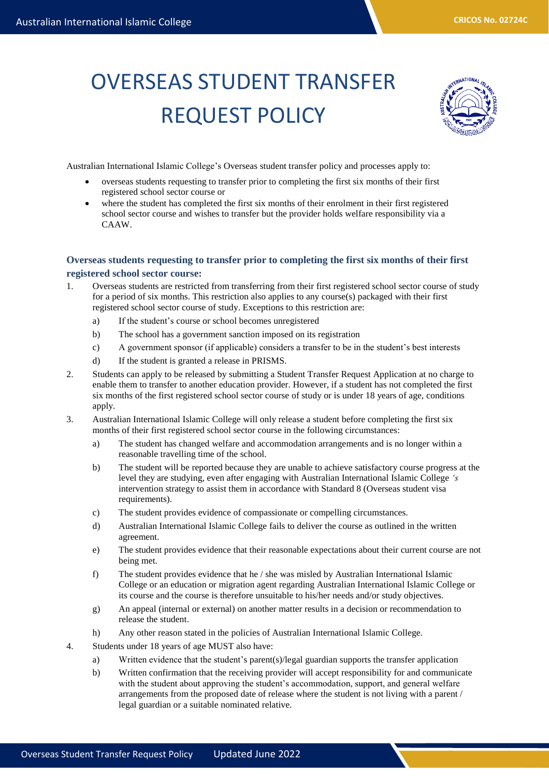## OVERSEAS STUDENT TRANSFER REQUEST POLICY



Australian International Islamic College's Overseas student transfer policy and processes apply to:

- overseas students requesting to transfer prior to completing the first six months of their first registered school sector course or
- where the student has completed the first six months of their enrolment in their first registered school sector course and wishes to transfer but the provider holds welfare responsibility via a CAAW.

## **Overseas students requesting to transfer prior to completing the first six months of their first registered school sector course:**

- 1. Overseas students are restricted from transferring from their first registered school sector course of study for a period of six months. This restriction also applies to any course(s) packaged with their first registered school sector course of study. Exceptions to this restriction are:
	- a) If the student's course or school becomes unregistered
	- b) The school has a government sanction imposed on its registration
	- c) A government sponsor (if applicable) considers a transfer to be in the student's best interests
	- d) If the student is granted a release in PRISMS.
- 2. Students can apply to be released by submitting a Student Transfer Request Application at no charge to enable them to transfer to another education provider. However, if a student has not completed the first six months of the first registered school sector course of study or is under 18 years of age, conditions apply.
- 3. Australian International Islamic College will only release a student before completing the first six months of their first registered school sector course in the following circumstances:
	- a) The student has changed welfare and accommodation arrangements and is no longer within a reasonable travelling time of the school.
	- b) The student will be reported because they are unable to achieve satisfactory course progress at the level they are studying, even after engaging with Australian International Islamic College *'s*  intervention strategy to assist them in accordance with Standard 8 (Overseas student visa requirements).
	- c) The student provides evidence of compassionate or compelling circumstances.
	- d) Australian International Islamic College fails to deliver the course as outlined in the written agreement.
	- e) The student provides evidence that their reasonable expectations about their current course are not being met.
	- f) The student provides evidence that he / she was misled by Australian International Islamic College or an education or migration agent regarding Australian International Islamic College or its course and the course is therefore unsuitable to his/her needs and/or study objectives.
	- g) An appeal (internal or external) on another matter results in a decision or recommendation to release the student.
	- h) Any other reason stated in the policies of Australian International Islamic College.
- 4. Students under 18 years of age MUST also have:
	- a) Written evidence that the student's parent(s)/legal guardian supports the transfer application
	- b) Written confirmation that the receiving provider will accept responsibility for and communicate with the student about approving the student's accommodation, support, and general welfare arrangements from the proposed date of release where the student is not living with a parent / legal guardian or a suitable nominated relative.